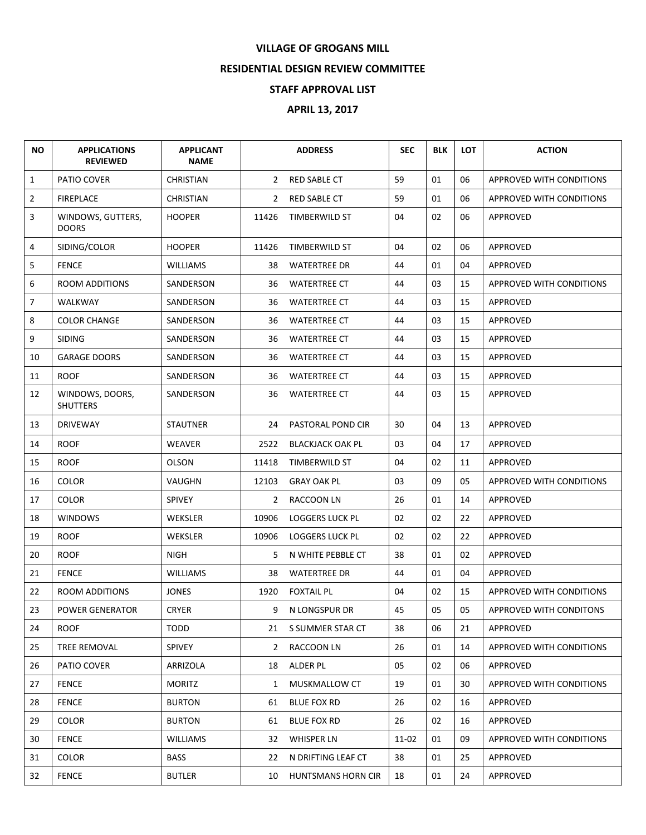## **VILLAGE OF GROGANS MILL**

## **RESIDENTIAL DESIGN REVIEW COMMITTEE**

## **STAFF APPROVAL LIST**

## **APRIL 13, 2017**

| ΝO             | <b>APPLICATIONS</b><br><b>REVIEWED</b> | <b>APPLICANT</b><br><b>NAME</b> |       | <b>ADDRESS</b>            | <b>SEC</b> | <b>BLK</b> | <b>LOT</b> | <b>ACTION</b>                   |
|----------------|----------------------------------------|---------------------------------|-------|---------------------------|------------|------------|------------|---------------------------------|
| $\mathbf{1}$   | PATIO COVER                            | <b>CHRISTIAN</b>                |       | 2 RED SABLE CT            | 59         | 01         | 06         | <b>APPROVED WITH CONDITIONS</b> |
| $\overline{2}$ | <b>FIREPLACE</b>                       | <b>CHRISTIAN</b>                | 2     | <b>RED SABLE CT</b>       | 59         | 01         | 06         | APPROVED WITH CONDITIONS        |
| 3              | WINDOWS, GUTTERS,<br><b>DOORS</b>      | <b>HOOPER</b>                   | 11426 | <b>TIMBERWILD ST</b>      | 04         | 02         | 06         | APPROVED                        |
| 4              | SIDING/COLOR                           | <b>HOOPER</b>                   | 11426 | TIMBERWILD ST             | 04         | 02         | 06         | APPROVED                        |
| 5              | <b>FENCE</b>                           | <b>WILLIAMS</b>                 | 38    | <b>WATERTREE DR</b>       | 44         | 01         | 04         | APPROVED                        |
| 6              | ROOM ADDITIONS                         | SANDERSON                       | 36    | <b>WATERTREE CT</b>       | 44         | 03         | 15         | APPROVED WITH CONDITIONS        |
| $\overline{7}$ | WALKWAY                                | SANDERSON                       | 36    | <b>WATERTREE CT</b>       | 44         | 03         | 15         | APPROVED                        |
| 8              | <b>COLOR CHANGE</b>                    | SANDERSON                       | 36    | <b>WATERTREE CT</b>       | 44         | 03         | 15         | <b>APPROVED</b>                 |
| 9              | <b>SIDING</b>                          | SANDERSON                       | 36    | <b>WATERTREE CT</b>       | 44         | 03         | 15         | APPROVED                        |
| 10             | <b>GARAGE DOORS</b>                    | SANDERSON                       | 36    | <b>WATERTREE CT</b>       | 44         | 03         | 15         | <b>APPROVED</b>                 |
| 11             | <b>ROOF</b>                            | SANDERSON                       | 36    | <b>WATERTREE CT</b>       | 44         | 03         | 15         | APPROVED                        |
| 12             | WINDOWS, DOORS,<br><b>SHUTTERS</b>     | SANDERSON                       | 36    | <b>WATERTREE CT</b>       | 44         | 03         | 15         | APPROVED                        |
| 13             | <b>DRIVEWAY</b>                        | <b>STAUTNER</b>                 | 24    | PASTORAL POND CIR         | 30         | 04         | 13         | APPROVED                        |
| 14             | <b>ROOF</b>                            | WEAVER                          | 2522  | <b>BLACKJACK OAK PL</b>   | 03         | 04         | 17         | APPROVED                        |
| 15             | <b>ROOF</b>                            | <b>OLSON</b>                    | 11418 | TIMBERWILD ST             | 04         | 02         | 11         | APPROVED                        |
| 16             | <b>COLOR</b>                           | VAUGHN                          | 12103 | <b>GRAY OAK PL</b>        | 03         | 09         | 05         | APPROVED WITH CONDITIONS        |
| 17             | <b>COLOR</b>                           | <b>SPIVEY</b>                   | 2     | RACCOON LN                | 26         | 01         | 14         | APPROVED                        |
| 18             | <b>WINDOWS</b>                         | WEKSLER                         | 10906 | <b>LOGGERS LUCK PL</b>    | 02         | 02         | 22         | APPROVED                        |
| 19             | <b>ROOF</b>                            | WEKSLER                         | 10906 | <b>LOGGERS LUCK PL</b>    | 02         | 02         | 22         | APPROVED                        |
| 20             | <b>ROOF</b>                            | <b>NIGH</b>                     | 5     | N WHITE PEBBLE CT         | 38         | 01         | 02         | APPROVED                        |
| 21             | <b>FENCE</b>                           | <b>WILLIAMS</b>                 | 38    | <b>WATERTREE DR</b>       | 44         | 01         | 04         | APPROVED                        |
| 22             | <b>ROOM ADDITIONS</b>                  | <b>JONES</b>                    | 1920  | <b>FOXTAIL PL</b>         | 04         | 02         | 15         | APPROVED WITH CONDITIONS        |
| 23             | POWER GENERATOR                        | <b>CRYER</b>                    | 9     | N LONGSPUR DR             | 45         | 05         | 05         | APPROVED WITH CONDITONS         |
| 24             | ROOF                                   | TODD                            |       | 21 S SUMMER STAR CT       | 38         | 06         | 21         | APPROVED                        |
| 25             | TREE REMOVAL                           | <b>SPIVEY</b>                   | 2     | RACCOON LN                | 26         | 01         | 14         | APPROVED WITH CONDITIONS        |
| 26             | PATIO COVER                            | ARRIZOLA                        |       | 18 ALDER PL               | 05         | 02         | 06         | APPROVED                        |
| 27             | <b>FENCE</b>                           | <b>MORITZ</b>                   | 1     | MUSKMALLOW CT             | 19         | 01         | 30         | APPROVED WITH CONDITIONS        |
| 28             | <b>FENCE</b>                           | <b>BURTON</b>                   | 61    | <b>BLUE FOX RD</b>        | 26         | 02         | 16         | APPROVED                        |
| 29             | <b>COLOR</b>                           | <b>BURTON</b>                   | 61    | <b>BLUE FOX RD</b>        | 26         | 02         | 16         | APPROVED                        |
| 30             | <b>FENCE</b>                           | <b>WILLIAMS</b>                 |       | 32 WHISPER LN             | 11-02      | 01         | 09         | APPROVED WITH CONDITIONS        |
| 31             | <b>COLOR</b>                           | <b>BASS</b>                     | 22    | N DRIFTING LEAF CT        | 38         | 01         | 25         | APPROVED                        |
| 32             | <b>FENCE</b>                           | <b>BUTLER</b>                   | 10    | <b>HUNTSMANS HORN CIR</b> | 18         | 01         | 24         | APPROVED                        |